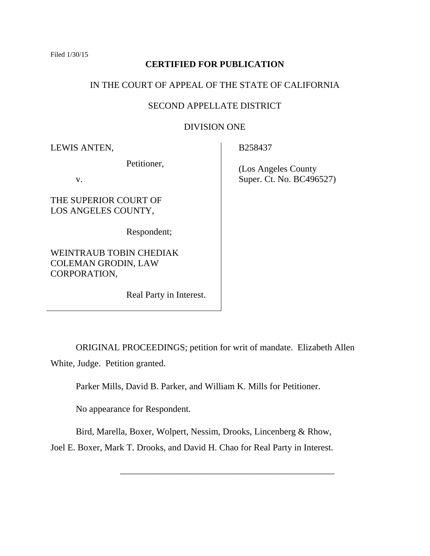Filed 1/30/15

## **CERTIFIED FOR PUBLICATION**

## IN THE COURT OF APPEAL OF THE STATE OF CALIFORNIA

## SECOND APPELLATE DISTRICT

## DIVISION ONE

LEWIS ANTEN,

Petitioner,

v.

THE SUPERIOR COURT OF LOS ANGELES COUNTY,

Respondent;

WEINTRAUB TOBIN CHEDIAK COLEMAN GRODIN, LAW CORPORATION,

Real Party in Interest.

B258437

 (Los Angeles County Super. Ct. No. BC496527)

ORIGINAL PROCEEDINGS; petition for writ of mandate. Elizabeth Allen White, Judge. Petition granted.

Parker Mills, David B. Parker, and William K. Mills for Petitioner.

No appearance for Respondent.

Bird, Marella, Boxer, Wolpert, Nessim, Drooks, Lincenberg & Rhow,

\_\_\_\_\_\_\_\_\_\_\_\_\_\_\_\_\_\_\_\_\_\_\_\_\_\_\_\_\_\_\_\_\_\_\_\_\_\_\_\_\_\_\_\_\_\_\_

Joel E. Boxer, Mark T. Drooks, and David H. Chao for Real Party in Interest.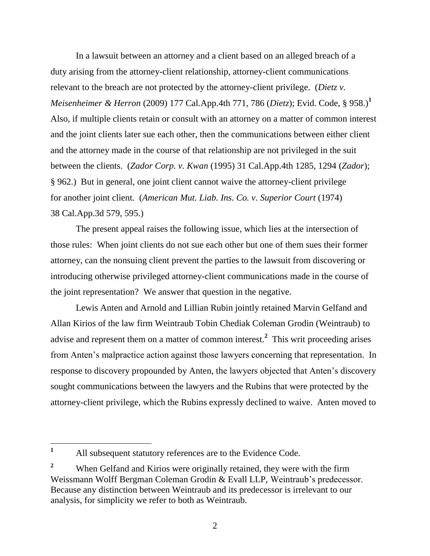In a lawsuit between an attorney and a client based on an alleged breach of a duty arising from the attorney-client relationship, attorney-client communications relevant to the breach are not protected by the attorney-client privilege. (*Dietz v. Meisenheimer & Herron* (2009) 177 Cal.App.4th 771, 786 (*Dietz*); Evid. Code, § 958.)**<sup>1</sup>** Also, if multiple clients retain or consult with an attorney on a matter of common interest and the joint clients later sue each other, then the communications between either client and the attorney made in the course of that relationship are not privileged in the suit between the clients. (*Zador Corp. v. Kwan* (1995) 31 Cal.App.4th 1285, 1294 (*Zador*); § 962.) But in general, one joint client cannot waive the attorney-client privilege for another joint client. (*American Mut. Liab. Ins. Co. v. Superior Court* (1974) 38 Cal.App.3d 579, 595.)

The present appeal raises the following issue, which lies at the intersection of those rules: When joint clients do not sue each other but one of them sues their former attorney, can the nonsuing client prevent the parties to the lawsuit from discovering or introducing otherwise privileged attorney-client communications made in the course of the joint representation? We answer that question in the negative.

Lewis Anten and Arnold and Lillian Rubin jointly retained Marvin Gelfand and Allan Kirios of the law firm Weintraub Tobin Chediak Coleman Grodin (Weintraub) to advise and represent them on a matter of common interest.**<sup>2</sup>** This writ proceeding arises from Anten's malpractice action against those lawyers concerning that representation. In response to discovery propounded by Anten, the lawyers objected that Anten's discovery sought communications between the lawyers and the Rubins that were protected by the attorney-client privilege, which the Rubins expressly declined to waive. Anten moved to

 $\mathbf{1}$ **<sup>1</sup>** All subsequent statutory references are to the Evidence Code.

<sup>&</sup>lt;sup>2</sup> When Gelfand and Kirios were originally retained, they were with the firm Weissmann Wolff Bergman Coleman Grodin & Evall LLP, Weintraub's predecessor. Because any distinction between Weintraub and its predecessor is irrelevant to our analysis, for simplicity we refer to both as Weintraub.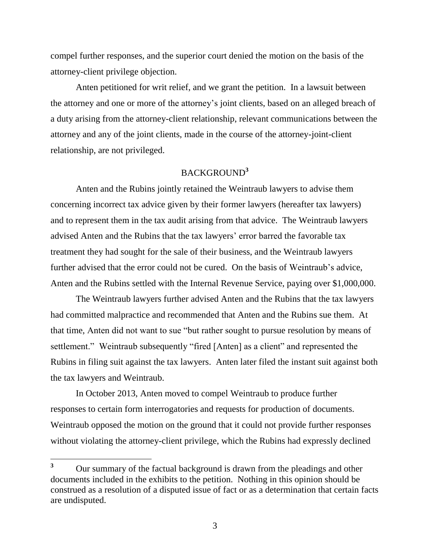compel further responses, and the superior court denied the motion on the basis of the attorney-client privilege objection.

Anten petitioned for writ relief, and we grant the petition. In a lawsuit between the attorney and one or more of the attorney's joint clients, based on an alleged breach of a duty arising from the attorney-client relationship, relevant communications between the attorney and any of the joint clients, made in the course of the attorney-joint-client relationship, are not privileged.

# BACKGROUND**<sup>3</sup>**

Anten and the Rubins jointly retained the Weintraub lawyers to advise them concerning incorrect tax advice given by their former lawyers (hereafter tax lawyers) and to represent them in the tax audit arising from that advice. The Weintraub lawyers advised Anten and the Rubins that the tax lawyers' error barred the favorable tax treatment they had sought for the sale of their business, and the Weintraub lawyers further advised that the error could not be cured. On the basis of Weintraub's advice, Anten and the Rubins settled with the Internal Revenue Service, paying over \$1,000,000.

The Weintraub lawyers further advised Anten and the Rubins that the tax lawyers had committed malpractice and recommended that Anten and the Rubins sue them. At that time, Anten did not want to sue "but rather sought to pursue resolution by means of settlement." Weintraub subsequently "fired [Anten] as a client" and represented the Rubins in filing suit against the tax lawyers. Anten later filed the instant suit against both the tax lawyers and Weintraub.

In October 2013, Anten moved to compel Weintraub to produce further responses to certain form interrogatories and requests for production of documents. Weintraub opposed the motion on the ground that it could not provide further responses without violating the attorney-client privilege, which the Rubins had expressly declined

 $3<sup>1</sup>$ **<sup>3</sup>** Our summary of the factual background is drawn from the pleadings and other documents included in the exhibits to the petition. Nothing in this opinion should be construed as a resolution of a disputed issue of fact or as a determination that certain facts are undisputed.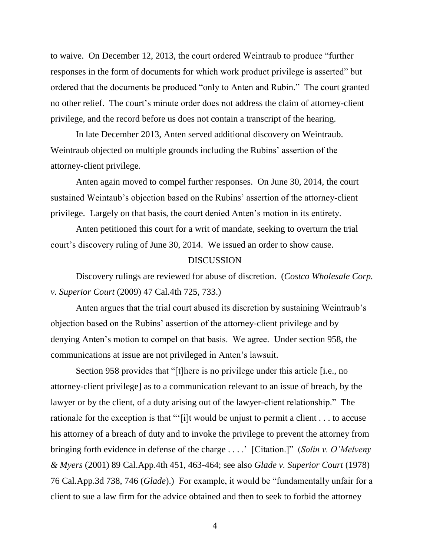to waive. On December 12, 2013, the court ordered Weintraub to produce "further responses in the form of documents for which work product privilege is asserted" but ordered that the documents be produced "only to Anten and Rubin." The court granted no other relief. The court's minute order does not address the claim of attorney-client privilege, and the record before us does not contain a transcript of the hearing.

In late December 2013, Anten served additional discovery on Weintraub. Weintraub objected on multiple grounds including the Rubins' assertion of the attorney-client privilege.

Anten again moved to compel further responses. On June 30, 2014, the court sustained Weintaub's objection based on the Rubins' assertion of the attorney-client privilege. Largely on that basis, the court denied Anten's motion in its entirety.

Anten petitioned this court for a writ of mandate, seeking to overturn the trial court's discovery ruling of June 30, 2014. We issued an order to show cause.

#### **DISCUSSION**

Discovery rulings are reviewed for abuse of discretion. (*Costco Wholesale Corp. v. Superior Court* (2009) 47 Cal.4th 725, 733.)

Anten argues that the trial court abused its discretion by sustaining Weintraub's objection based on the Rubins' assertion of the attorney-client privilege and by denying Anten's motion to compel on that basis. We agree. Under section 958, the communications at issue are not privileged in Anten's lawsuit.

Section 958 provides that "[t]here is no privilege under this article [i.e., no attorney-client privilege] as to a communication relevant to an issue of breach, by the lawyer or by the client, of a duty arising out of the lawyer-client relationship." The rationale for the exception is that "'[i]t would be unjust to permit a client . . . to accuse his attorney of a breach of duty and to invoke the privilege to prevent the attorney from bringing forth evidence in defense of the charge . . . .' [Citation.]" (*Solin v. O'Melveny & Myers* (2001) 89 Cal.App.4th 451, 463-464; see also *Glade v. Superior Court* (1978) 76 Cal.App.3d 738, 746 (*Glade*).) For example, it would be "fundamentally unfair for a client to sue a law firm for the advice obtained and then to seek to forbid the attorney

4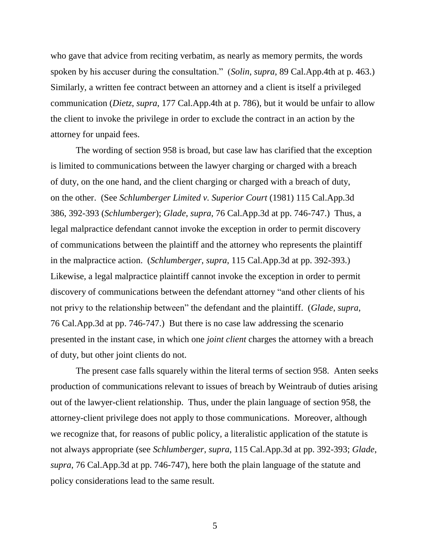who gave that advice from reciting verbatim, as nearly as memory permits, the words spoken by his accuser during the consultation." (*Solin*, *supra*, 89 Cal.App.4th at p. 463.) Similarly, a written fee contract between an attorney and a client is itself a privileged communication (*Dietz*, *supra*, 177 Cal.App.4th at p. 786), but it would be unfair to allow the client to invoke the privilege in order to exclude the contract in an action by the attorney for unpaid fees.

The wording of section 958 is broad, but case law has clarified that the exception is limited to communications between the lawyer charging or charged with a breach of duty, on the one hand, and the client charging or charged with a breach of duty, on the other. (See *Schlumberger Limited v. Superior Court* (1981) 115 Cal.App.3d 386, 392-393 (*Schlumberger*); *Glade*, *supra*, 76 Cal.App.3d at pp. 746-747.) Thus, a legal malpractice defendant cannot invoke the exception in order to permit discovery of communications between the plaintiff and the attorney who represents the plaintiff in the malpractice action. (*Schlumberger*, *supra*, 115 Cal.App.3d at pp. 392-393.) Likewise, a legal malpractice plaintiff cannot invoke the exception in order to permit discovery of communications between the defendant attorney "and other clients of his not privy to the relationship between" the defendant and the plaintiff. (*Glade*, *supra*, 76 Cal.App.3d at pp. 746-747.) But there is no case law addressing the scenario presented in the instant case, in which one *joint client* charges the attorney with a breach of duty, but other joint clients do not.

The present case falls squarely within the literal terms of section 958. Anten seeks production of communications relevant to issues of breach by Weintraub of duties arising out of the lawyer-client relationship. Thus, under the plain language of section 958, the attorney-client privilege does not apply to those communications. Moreover, although we recognize that, for reasons of public policy, a literalistic application of the statute is not always appropriate (see *Schlumberger*, *supra*, 115 Cal.App.3d at pp. 392-393; *Glade*, *supra*, 76 Cal.App.3d at pp. 746-747), here both the plain language of the statute and policy considerations lead to the same result.

5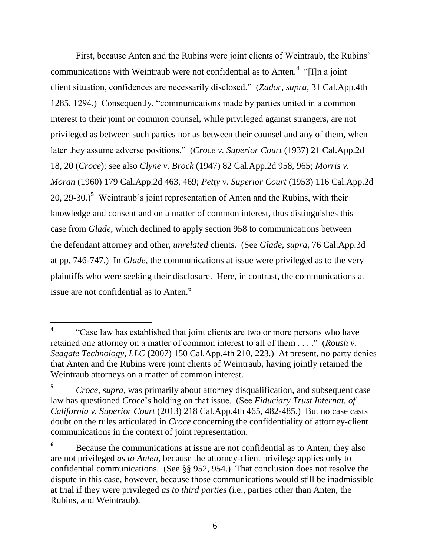First, because Anten and the Rubins were joint clients of Weintraub, the Rubins' communications with Weintraub were not confidential as to Anten.<sup>4</sup> "[I]n a joint client situation, confidences are necessarily disclosed." (*Zador*, *supra*, 31 Cal.App.4th 1285, 1294.) Consequently, "communications made by parties united in a common interest to their joint or common counsel, while privileged against strangers, are not privileged as between such parties nor as between their counsel and any of them, when later they assume adverse positions." (*Croce v. Superior Court* (1937) 21 Cal.App.2d 18, 20 (*Croce*); see also *Clyne v. Brock* (1947) 82 Cal.App.2d 958, 965; *Morris v. Moran* (1960) 179 Cal.App.2d 463, 469; *Petty v. Superior Court* (1953) 116 Cal.App.2d 20, 29-30.)**<sup>5</sup>** Weintraub's joint representation of Anten and the Rubins, with their knowledge and consent and on a matter of common interest, thus distinguishes this case from *Glade*, which declined to apply section 958 to communications between the defendant attorney and other, *unrelated* clients. (See *Glade*, *supra*, 76 Cal.App.3d at pp. 746-747.) In *Glade*, the communications at issue were privileged as to the very plaintiffs who were seeking their disclosure. Here, in contrast, the communications at issue are not confidential as to Anten.<sup>6</sup>

 $\overline{a}$ 

**<sup>4</sup>** "Case law has established that joint clients are two or more persons who have retained one attorney on a matter of common interest to all of them . . . ." (*Roush v. Seagate Technology, LLC* (2007) 150 Cal.App.4th 210, 223.) At present, no party denies that Anten and the Rubins were joint clients of Weintraub, having jointly retained the Weintraub attorneys on a matter of common interest.

**<sup>5</sup>** *Croce*, *supra*, was primarily about attorney disqualification, and subsequent case law has questioned *Croce*'s holding on that issue. (See *Fiduciary Trust Internat. of California v. Superior Court* (2013) 218 Cal.App.4th 465, 482-485.) But no case casts doubt on the rules articulated in *Croce* concerning the confidentiality of attorney-client communications in the context of joint representation.

**<sup>6</sup>** Because the communications at issue are not confidential as to Anten, they also are not privileged *as to Anten*, because the attorney-client privilege applies only to confidential communications. (See §§ 952, 954.) That conclusion does not resolve the dispute in this case, however, because those communications would still be inadmissible at trial if they were privileged *as to third parties* (i.e., parties other than Anten, the Rubins, and Weintraub).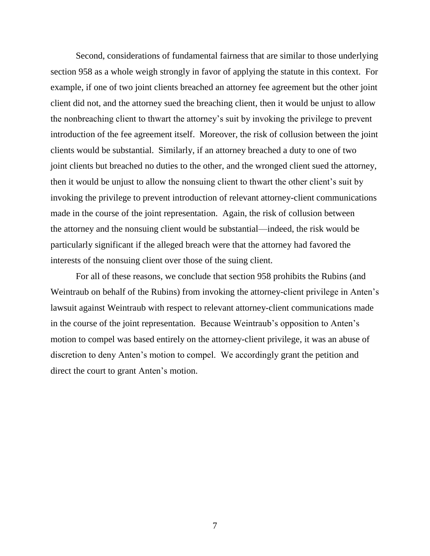Second, considerations of fundamental fairness that are similar to those underlying section 958 as a whole weigh strongly in favor of applying the statute in this context. For example, if one of two joint clients breached an attorney fee agreement but the other joint client did not, and the attorney sued the breaching client, then it would be unjust to allow the nonbreaching client to thwart the attorney's suit by invoking the privilege to prevent introduction of the fee agreement itself. Moreover, the risk of collusion between the joint clients would be substantial. Similarly, if an attorney breached a duty to one of two joint clients but breached no duties to the other, and the wronged client sued the attorney, then it would be unjust to allow the nonsuing client to thwart the other client's suit by invoking the privilege to prevent introduction of relevant attorney-client communications made in the course of the joint representation. Again, the risk of collusion between the attorney and the nonsuing client would be substantial—indeed, the risk would be particularly significant if the alleged breach were that the attorney had favored the interests of the nonsuing client over those of the suing client.

For all of these reasons, we conclude that section 958 prohibits the Rubins (and Weintraub on behalf of the Rubins) from invoking the attorney-client privilege in Anten's lawsuit against Weintraub with respect to relevant attorney-client communications made in the course of the joint representation. Because Weintraub's opposition to Anten's motion to compel was based entirely on the attorney-client privilege, it was an abuse of discretion to deny Anten's motion to compel. We accordingly grant the petition and direct the court to grant Anten's motion.